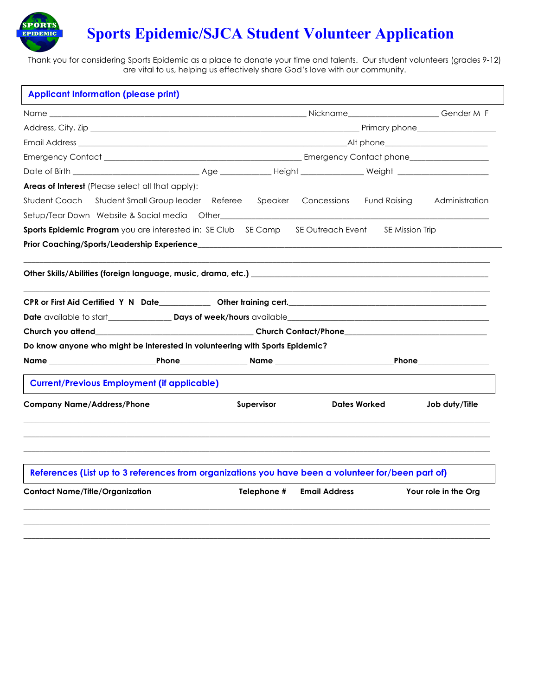

# **Sports Epidemic/SJCA Student Volunteer Application**

Thank you for considering Sports Epidemic as a place to donate your time and talents. Our student volunteers (grades 9-12) are vital to us, helping us effectively share God's love with our community.

| <b>Applicant Information (please print)</b>                                                                                                                                                                                    |                   |                        |                |
|--------------------------------------------------------------------------------------------------------------------------------------------------------------------------------------------------------------------------------|-------------------|------------------------|----------------|
|                                                                                                                                                                                                                                |                   |                        |                |
|                                                                                                                                                                                                                                |                   |                        |                |
| Email Address and the contract of the contract of the contract of the contract of the contract of the contract of the contract of the contract of the contract of the contract of the contract of the contract of the contract |                   |                        |                |
|                                                                                                                                                                                                                                |                   |                        |                |
|                                                                                                                                                                                                                                |                   |                        |                |
| <b>Areas of Interest</b> (Please select all that apply):                                                                                                                                                                       |                   |                        |                |
| Student Coach Student Small Group leader Referee Speaker Concessions Fund Raising Administration                                                                                                                               |                   |                        |                |
|                                                                                                                                                                                                                                |                   |                        |                |
| <b>Sports Epidemic Program</b> you are interested in: SE Club SE Camp SE Outreach Event                                                                                                                                        |                   | <b>SE Mission Trip</b> |                |
|                                                                                                                                                                                                                                |                   |                        |                |
|                                                                                                                                                                                                                                |                   |                        |                |
|                                                                                                                                                                                                                                |                   |                        |                |
|                                                                                                                                                                                                                                |                   |                        |                |
|                                                                                                                                                                                                                                |                   |                        |                |
|                                                                                                                                                                                                                                |                   |                        |                |
|                                                                                                                                                                                                                                |                   |                        |                |
|                                                                                                                                                                                                                                |                   |                        |                |
| <b>Current/Previous Employment (if applicable)</b>                                                                                                                                                                             |                   |                        |                |
| Do know anyone who might be interested in volunteering with Sports Epidemic?<br><b>Company Name/Address/Phone</b>                                                                                                              | <b>Supervisor</b> | <b>Dates Worked</b>    | Job duty/Title |
|                                                                                                                                                                                                                                |                   |                        |                |
| References (List up to 3 references from organizations you have been a volunteer for/been part of)                                                                                                                             |                   |                        |                |

**\_\_\_\_\_\_\_\_\_\_\_\_\_\_\_\_\_\_\_\_\_\_\_\_\_\_\_\_\_\_\_\_\_\_\_\_\_\_\_\_\_\_\_\_\_\_\_\_\_\_\_\_\_\_\_\_\_\_\_\_\_\_\_\_\_\_\_\_\_\_\_\_\_\_\_\_\_\_\_\_\_\_\_\_\_\_\_\_\_\_\_\_\_\_\_\_\_\_\_\_\_\_\_\_\_\_\_\_\_\_\_\_\_\_\_\_\_\_**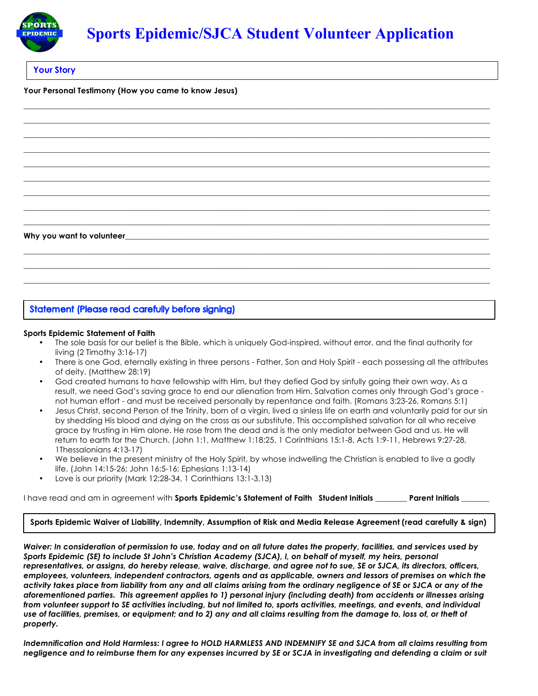

**\_\_\_\_\_\_\_\_\_\_\_\_\_\_\_\_\_\_\_\_\_\_\_\_\_\_\_\_\_\_\_\_\_\_\_\_\_\_\_\_\_\_\_\_\_\_\_\_\_\_\_\_\_\_\_\_\_\_\_\_\_\_\_\_\_\_\_\_\_\_\_\_\_\_\_\_\_\_\_\_\_\_\_\_\_\_\_\_\_\_\_\_\_\_\_\_\_\_\_\_\_\_\_\_\_\_\_\_\_\_\_\_\_\_\_\_\_\_ \_\_\_\_\_\_\_\_\_\_\_\_\_\_\_\_\_\_\_\_\_\_\_\_\_\_\_\_\_\_\_\_\_\_\_\_\_\_\_\_\_\_\_\_\_\_\_\_\_\_\_\_\_\_\_\_\_\_\_\_\_\_\_\_\_\_\_\_\_\_\_\_\_\_\_\_\_\_\_\_\_\_\_\_\_\_\_\_\_\_\_\_\_\_\_\_\_\_\_\_\_\_\_\_\_\_\_\_\_\_\_\_\_\_\_\_\_\_ \_\_\_\_\_\_\_\_\_\_\_\_\_\_\_\_\_\_\_\_\_\_\_\_\_\_\_\_\_\_\_\_\_\_\_\_\_\_\_\_\_\_\_\_\_\_\_\_\_\_\_\_\_\_\_\_\_\_\_\_\_\_\_\_\_\_\_\_\_\_\_\_\_\_\_\_\_\_\_\_\_\_\_\_\_\_\_\_\_\_\_\_\_\_\_\_\_\_\_\_\_\_\_\_\_\_\_\_\_\_\_\_\_\_\_\_\_\_ \_\_\_\_\_\_\_\_\_\_\_\_\_\_\_\_\_\_\_\_\_\_\_\_\_\_\_\_\_\_\_\_\_\_\_\_\_\_\_\_\_\_\_\_\_\_\_\_\_\_\_\_\_\_\_\_\_\_\_\_\_\_\_\_\_\_\_\_\_\_\_\_\_\_\_\_\_\_\_\_\_\_\_\_\_\_\_\_\_\_\_\_\_\_\_\_\_\_\_\_\_\_\_\_\_\_\_\_\_\_\_\_\_\_\_\_\_\_ \_\_\_\_\_\_\_\_\_\_\_\_\_\_\_\_\_\_\_\_\_\_\_\_\_\_\_\_\_\_\_\_\_\_\_\_\_\_\_\_\_\_\_\_\_\_\_\_\_\_\_\_\_\_\_\_\_\_\_\_\_\_\_\_\_\_\_\_\_\_\_\_\_\_\_\_\_\_\_\_\_\_\_\_\_\_\_\_\_\_\_\_\_\_\_\_\_\_\_\_\_\_\_\_\_\_\_\_\_\_\_\_\_\_\_\_\_\_ \_\_\_\_\_\_\_\_\_\_\_\_\_\_\_\_\_\_\_\_\_\_\_\_\_\_\_\_\_\_\_\_\_\_\_\_\_\_\_\_\_\_\_\_\_\_\_\_\_\_\_\_\_\_\_\_\_\_\_\_\_\_\_\_\_\_\_\_\_\_\_\_\_\_\_\_\_\_\_\_\_\_\_\_\_\_\_\_\_\_\_\_\_\_\_\_\_\_\_\_\_\_\_\_\_\_\_\_\_\_\_\_\_\_\_\_\_\_ \_\_\_\_\_\_\_\_\_\_\_\_\_\_\_\_\_\_\_\_\_\_\_\_\_\_\_\_\_\_\_\_\_\_\_\_\_\_\_\_\_\_\_\_\_\_\_\_\_\_\_\_\_\_\_\_\_\_\_\_\_\_\_\_\_\_\_\_\_\_\_\_\_\_\_\_\_\_\_\_\_\_\_\_\_\_\_\_\_\_\_\_\_\_\_\_\_\_\_\_\_\_\_\_\_\_\_\_\_\_\_\_\_\_\_\_\_\_ \_\_\_\_\_\_\_\_\_\_\_\_\_\_\_\_\_\_\_\_\_\_\_\_\_\_\_\_\_\_\_\_\_\_\_\_\_\_\_\_\_\_\_\_\_\_\_\_\_\_\_\_\_\_\_\_\_\_\_\_\_\_\_\_\_\_\_\_\_\_\_\_\_\_\_\_\_\_\_\_\_\_\_\_\_\_\_\_\_\_\_\_\_\_\_\_\_\_\_\_\_\_\_\_\_\_\_\_\_\_\_\_\_\_\_\_\_\_ \_\_\_\_\_\_\_\_\_\_\_\_\_\_\_\_\_\_\_\_\_\_\_\_\_\_\_\_\_\_\_\_\_\_\_\_\_\_\_\_\_\_\_\_\_\_\_\_\_\_\_\_\_\_\_\_\_\_\_\_\_\_\_\_\_\_\_\_\_\_\_\_\_\_\_\_\_\_\_\_\_\_\_\_\_\_\_\_\_\_\_\_\_\_\_\_\_\_\_\_\_\_\_\_\_\_\_\_\_\_\_\_\_\_\_\_\_\_**

**Your Story** 

**Your Personal Testimony (How you came to know Jesus)** 

#### Why you want to volunteer\_

### **Statement (Please read carefully before signing)**

#### **Sports Epidemic Statement of Faith**

• The sole basis for our belief is the Bible, which is uniquely God-inspired, without error, and the final authority for living (2 Timothy 3:16-17)

**\_\_\_\_\_\_\_\_\_\_\_\_\_\_\_\_\_\_\_\_\_\_\_\_\_\_\_\_\_\_\_\_\_\_\_\_\_\_\_\_\_\_\_\_\_\_\_\_\_\_\_\_\_\_\_\_\_\_\_\_\_\_\_\_\_\_\_\_\_\_\_\_\_\_\_\_\_\_\_\_\_\_\_\_\_\_\_\_\_\_\_\_\_\_\_\_\_\_\_\_\_\_\_\_\_\_\_\_\_\_\_\_\_\_\_\_\_\_ \_\_\_\_\_\_\_\_\_\_\_\_\_\_\_\_\_\_\_\_\_\_\_\_\_\_\_\_\_\_\_\_\_\_\_\_\_\_\_\_\_\_\_\_\_\_\_\_\_\_\_\_\_\_\_\_\_\_\_\_\_\_\_\_\_\_\_\_\_\_\_\_\_\_\_\_\_\_\_\_\_\_\_\_\_\_\_\_\_\_\_\_\_\_\_\_\_\_\_\_\_\_\_\_\_\_\_\_\_\_\_\_\_\_\_\_\_\_ \_\_\_\_\_\_\_\_\_\_\_\_\_\_\_\_\_\_\_\_\_\_\_\_\_\_\_\_\_\_\_\_\_\_\_\_\_\_\_\_\_\_\_\_\_\_\_\_\_\_\_\_\_\_\_\_\_\_\_\_\_\_\_\_\_\_\_\_\_\_\_\_\_\_\_\_\_\_\_\_\_\_\_\_\_\_\_\_\_\_\_\_\_\_\_\_\_\_\_\_\_\_\_\_\_\_\_\_\_\_\_\_\_\_\_\_\_\_**

- There is one God, eternally existing in three persons Father, Son and Holy Spirit each possessing all the attributes of deity. (Matthew 28:19)
- God created humans to have fellowship with Him, but they defied God by sinfully going their own way. As a result, we need God's saving grace to end our alienation from Him. Salvation comes only through God's grace not human effort - and must be received personally by repentance and faith. (Romans 3:23-26, Romans 5:1)
- Jesus Christ, second Person of the Trinity, born of a virgin, lived a sinless life on earth and voluntarily paid for our sin by shedding His blood and dying on the cross as our substitute. This accomplished salvation for all who receive grace by trusting in Him alone. He rose from the dead and is the only mediator between God and us. He will return to earth for the Church. (John 1:1, Matthew 1:18:25, 1 Corinthians 15:1-8, Acts 1:9-11, Hebrews 9:27-28, 1Thessalonians 4:13-17)
- We believe in the present ministry of the Holy Spirit, by whose indwelling the Christian is enabled to live a godly life. (John 14:15-26; John 16:5-16; Ephesians 1:13-14)
- Love is our priority (Mark 12:28-34, 1 Corinthians 13:1-3,13)

I have read and am in agreement with **Sports Epidemic's Statement of Faith Student Initials \_**\_\_\_\_\_\_\_ **Parent Initials \_**\_\_\_\_\_\_

#### **Sports Epidemic Waiver of Liability, Indemnity, Assumption of Risk and Media Release Agreement (read carefully & sign)**

*Waiver: In consideration of permission to use, today and on all future dates the property, facilities, and services used by Sports Epidemic (SE) to include St John's Christian Academy (SJCA), I, on behalf of myself, my heirs, personal representatives, or assigns, do hereby release, waive, discharge, and agree not to sue, SE or SJCA, its directors, officers, employees, volunteers, independent contractors, agents and as applicable, owners and lessors of premises on which the activity takes place from liability from any and all claims arising from the ordinary negligence of SE or SJCA or any of the aforementioned parties. This agreement applies to 1) personal injury (including death) from accidents or illnesses arising from volunteer support to SE activities including, but not limited to, sports activities, meetings, and events, and individual use of facilities, premises, or equipment; and to 2) any and all claims resulting from the damage to, loss of, or theft of property.* 

*Indemnification and Hold Harmless: I agree to HOLD HARMLESS AND INDEMNIFY SE and SJCA from all claims resulting from negligence and to reimburse them for any expenses incurred by SE or SCJA in investigating and defending a claim or suit*